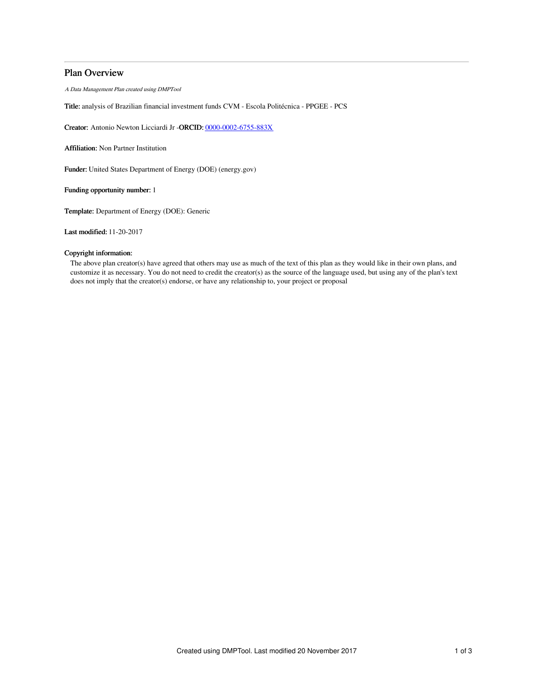# Plan Overview

A Data Management Plan created using DMPTool

Title: analysis of Brazilian financial investment funds CVM - Escola Politécnica - PPGEE - PCS

Creator: Antonio Newton Licciardi Jr -ORCID: [0000-0002-6755-883X](https://orcid.org/0000-0002-6755-883X)

Affiliation: Non Partner Institution

Funder: United States Department of Energy (DOE) (energy.gov)

Funding opportunity number: 1

Template: Department of Energy (DOE): Generic

Last modified: 11-20-2017

# Copyright information:

The above plan creator(s) have agreed that others may use as much of the text of this plan as they would like in their own plans, and customize it as necessary. You do not need to credit the creator(s) as the source of the language used, but using any of the plan's text does not imply that the creator(s) endorse, or have any relationship to, your project or proposal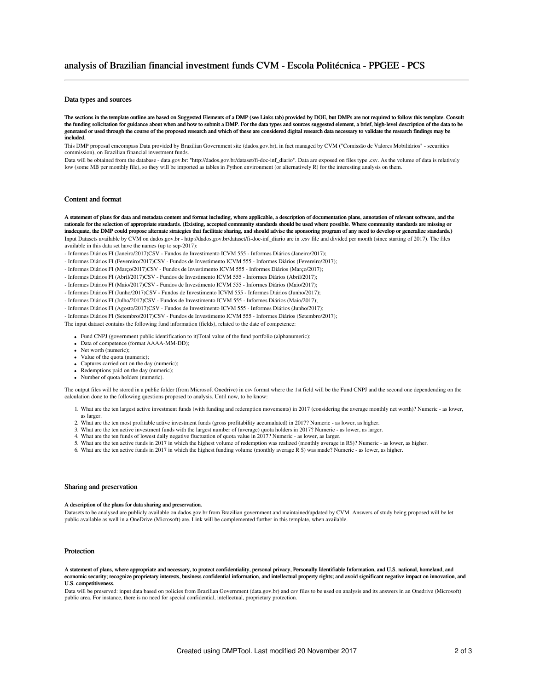## Data types and sources

The sections in the template outline are based on Suggested Elements of a DMP (see Links tab) provided by DOE, but DMPs are not required to follow this template. Consult the funding solicitation for guidance about when and how to submit a DMP. For the data types and sources suggested element, a brief, high-level description of the data to be generated or used through the course of the proposed research and which of these are considered digital research data necessary to validate the research findings may be included.

This DMP proposal emcompass Data provided by Brazilian Government site (dados.gov.br), in fact managed by CVM ("Comissão de Valores Mobiliários" - securities commission), on Brazilian financial investment funds.

Data will be obtained from the database - data.gov.br: "http://dados.gov.br/dataset/fi-doc-inf\_diario". Data are exposed on files type .csv. As the volume of data is relatively low (some MB per monthly file), so they will be imported as tables in Python environment (or alternatively R) for the interesting analysis on them.

### Content and format

A statement of plans for data and metadata content and format including, where applicable, a description of documentation plans, annotation of relevant software, and the rationale for the selection of appropriate standards. (Existing, accepted community standards should be used where possible. Where community standards are missing or inadequate, the DMP could propose alternate strategies that facilitate sharing, and should advise the sponsoring program of any need to develop or generalize standards.) Input Datasets available by CVM on dados.gov.br - http://dados.gov.br/dataset/fi-doc-inf\_diario are in .csv file and divided per month (since starting of 2017). The files available in this data set have the names (up to sep-2017):

- Informes Diários FI (Janeiro/2017)CSV Fundos de Investimento ICVM 555 Informes Diários (Janeiro/2017);
- Informes Diários FI (Fevereiro/2017)CSV Fundos de Investimento ICVM 555 Informes Diários (Fevereiro/2017);
- Informes Diários FI (Março/2017)CSV Fundos de Investimento ICVM 555 Informes Diários (Março/2017);
- Informes Diários FI (Abril/2017)CSV Fundos de Investimento ICVM 555 Informes Diários (Abril/2017);
- Informes Diários FI (Maio/2017)CSV Fundos de Investimento ICVM 555 Informes Diários (Maio/2017);
- Informes Diários FI (Junho/2017)CSV Fundos de Investimento ICVM 555 Informes Diários (Junho/2017);
- Informes Diários FI (Julho/2017)CSV Fundos de Investimento ICVM 555 Informes Diários (Maio/2017);
- Informes Diários FI (Agosto/2017)CSV Fundos de Investimento ICVM 555 Informes Diários (Junho/2017);
- Informes Diários FI (Setembro/2017)CSV Fundos de Investimento ICVM 555 Informes Diários (Setembro/2017);

The input dataset contains the following fund information (fields), related to the date of competence:

- Fund CNPJ (government public identification to it)Total value of the fund portfolio (alphanumeric);
- Data of competence (format AAAA-MM-DD);
- Net worth (numeric): • Value of the quota (numeric);
- Captures carried out on the day (numeric);
- Redemptions paid on the day (numeric);
- Number of quota holders (numeric).

The output files will be stored in a public folder (from Microsoft Onedrive) in csv format where the 1st field will be the Fund CNPJ and the second one dependending on the calculation done to the following questions proposed to analysis. Until now, to be know:

- 1. What are the ten largest active investment funds (with funding and redemption movements) in 2017 (considering the average monthly net worth)? Numeric as lower, as larger.
- 2. What are the ten most profitable active investment funds (gross profitability accumulated) in 2017? Numeric as lower, as higher.
- 3. What are the ten active investment funds with the largest number of (average) quota holders in 2017? Numeric as lower, as larger.
- 4. What are the ten funds of lowest daily negative fluctuation of quota value in 2017? Numeric as lower, as larger.
- 5. What are the ten active funds in 2017 in which the highest volume of redemption was realized (monthly average in R\$)? Numeric as lower, as higher.
- 6. What are the ten active funds in 2017 in which the highest funding volume (monthly average R \$) was made? Numeric as lower, as higher.

#### Sharing and preservation

#### A description of the plans for data sharing and preservation.

Datasets to be analysed are publicly available on dados.gov.br from Brazilian government and maintained/updated by CVM. Answers of study being proposed will be let public available as well in a OneDrive (Microsoft) are. Link will be complemented further in this template, when available.

#### Protection

#### A statement of plans, where appropriate and necessary, to protect confidentiality, personal privacy, Personally Identifiable Information, and U.S. national, homeland, and economic security; recognize proprietary interests, business confidential information, and intellectual property rights; and avoid significant negative impact on innovation, and U.S. competitiveness

Data will be preserved: input data based on policies from Brazilian Government (data.gov.br) and csv files to be used on analysis and its answers in an Onedrive (Microsoft) public area. For instance, there is no need for special confidential, intellectual, proprietary protection.